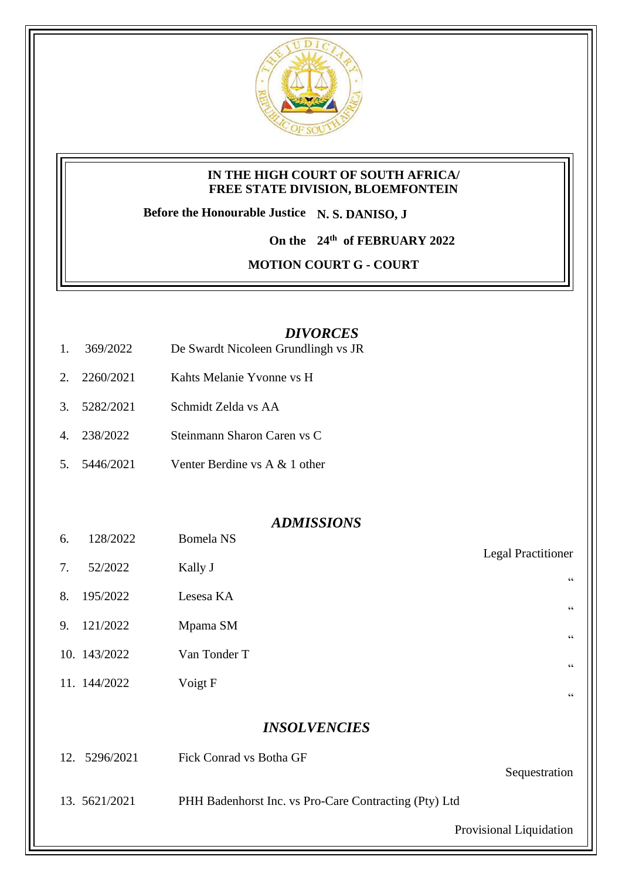

#### **IN THE HIGH COURT OF SOUTH AFRICA/ FREE STATE DIVISION, BLOEMFONTEIN**

**Before the Honourable Justice N. S. DANISO, J**

**On the 24th of FEBRUARY 2022**

**MOTION COURT G - COURT** 

### *DIVORCES*

- 1. 369/2022 De Swardt Nicoleen Grundlingh vs JR
- 2. 2260/2021 Kahts Melanie Yvonne vs H
- 3. 5282/2021 Schmidt Zelda vs AA
- 4. 238/2022 Steinmann Sharon Caren vs C
- 5. 5446/2021 Venter Berdine vs A & 1 other

#### *ADMISSIONS*

Legal Practitioner

"

 $\epsilon$ 

"

"

"

- 6. 128/2022 Bomela NS
- 7. 52/2022 Kally J
- 8. 195/2022 Lesesa KA
- 9. 121/2022 Mpama SM
- 10. 143/2022 Van Tonder T
- 11. 144/2022 Voigt F

## *INSOLVENCIES*

| 12. 5296/2021 | Fick Conrad vs Botha GF                               | Sequestration           |
|---------------|-------------------------------------------------------|-------------------------|
| 13. 5621/2021 | PHH Badenhorst Inc. vs Pro-Care Contracting (Pty) Ltd |                         |
|               |                                                       | Provisional Liquidation |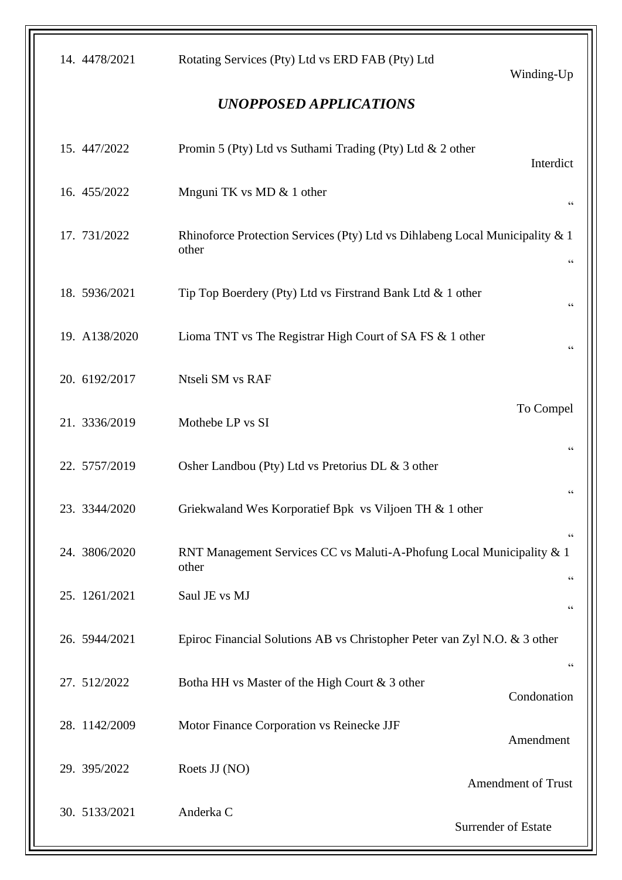| 14. 4478/2021                 | Rotating Services (Pty) Ltd vs ERD FAB (Pty) Ltd                                      | Winding-Up                                  |  |  |
|-------------------------------|---------------------------------------------------------------------------------------|---------------------------------------------|--|--|
| <b>UNOPPOSED APPLICATIONS</b> |                                                                                       |                                             |  |  |
| 15. 447/2022                  | Promin 5 (Pty) Ltd vs Suthami Trading (Pty) Ltd & 2 other                             | Interdict                                   |  |  |
| 16. 455/2022                  | Mnguni TK vs MD & 1 other                                                             | $\mbox{\bf G}$                              |  |  |
| 17. 731/2022                  | Rhinoforce Protection Services (Pty) Ltd vs Dihlabeng Local Municipality & 1<br>other | $\mbox{\bf G}$                              |  |  |
| 18. 5936/2021                 | Tip Top Boerdery (Pty) Ltd vs Firstrand Bank Ltd & 1 other                            | 66                                          |  |  |
| 19. A138/2020                 | Lioma TNT vs The Registrar High Court of SA FS & 1 other                              | $\mbox{\bf G}$                              |  |  |
| 20. 6192/2017                 | Ntseli SM vs RAF                                                                      |                                             |  |  |
| 21. 3336/2019                 | Mothebe LP vs SI                                                                      | To Compel                                   |  |  |
| 22. 5757/2019                 | Osher Landbou (Pty) Ltd vs Pretorius DL & 3 other                                     | 66                                          |  |  |
| 23. 3344/2020                 | Griekwaland Wes Korporatief Bpk vs Viljoen TH & 1 other                               | $\,$ 6 $\,$                                 |  |  |
| 24. 3806/2020                 | RNT Management Services CC vs Maluti-A-Phofung Local Municipality & 1<br>other        | $\,$ 6 $\,$                                 |  |  |
| 25. 1261/2021                 | Saul JE vs MJ                                                                         | $\zeta$ $\zeta$<br>$\textsf{G}\,\textsf{G}$ |  |  |
| 26. 5944/2021                 | Epiroc Financial Solutions AB vs Christopher Peter van Zyl N.O. & 3 other             |                                             |  |  |
| 27. 512/2022                  | Botha HH vs Master of the High Court & 3 other                                        | $\textsf{G}\,\textsf{G}$<br>Condonation     |  |  |
| 28. 1142/2009                 | Motor Finance Corporation vs Reinecke JJF                                             | Amendment                                   |  |  |
| 29. 395/2022                  | Roets JJ (NO)                                                                         | <b>Amendment of Trust</b>                   |  |  |
| 30. 5133/2021                 | Anderka C                                                                             | Surrender of Estate                         |  |  |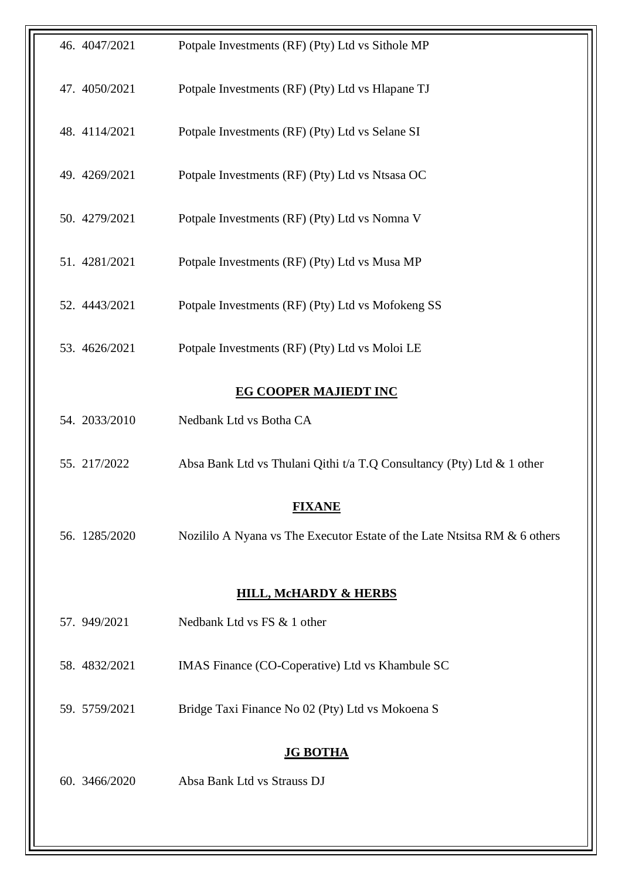| 46. 4047/2021                    | Potpale Investments (RF) (Pty) Ltd vs Sithole MP                          |  |
|----------------------------------|---------------------------------------------------------------------------|--|
| 47. 4050/2021                    | Potpale Investments (RF) (Pty) Ltd vs Hlapane TJ                          |  |
| 48. 4114/2021                    | Potpale Investments (RF) (Pty) Ltd vs Selane SI                           |  |
| 49. 4269/2021                    | Potpale Investments (RF) (Pty) Ltd vs Ntsasa OC                           |  |
| 50. 4279/2021                    | Potpale Investments (RF) (Pty) Ltd vs Nomna V                             |  |
| 51. 4281/2021                    | Potpale Investments (RF) (Pty) Ltd vs Musa MP                             |  |
| 52. 4443/2021                    | Potpale Investments (RF) (Pty) Ltd vs Mofokeng SS                         |  |
| 53. 4626/2021                    | Potpale Investments (RF) (Pty) Ltd vs Moloi LE                            |  |
|                                  | <b>EG COOPER MAJIEDT INC</b>                                              |  |
| 54. 2033/2010                    | Nedbank Ltd vs Botha CA                                                   |  |
| 55. 217/2022                     | Absa Bank Ltd vs Thulani Qithi t/a T.Q Consultancy (Pty) Ltd & 1 other    |  |
|                                  | <b>FIXANE</b>                                                             |  |
| 56. 1285/2020                    | Nozililo A Nyana vs The Executor Estate of the Late Ntsitsa RM & 6 others |  |
| <b>HILL, MCHARDY &amp; HERBS</b> |                                                                           |  |
| 57. 949/2021                     | Nedbank Ltd vs FS & 1 other                                               |  |
| 58. 4832/2021                    | IMAS Finance (CO-Coperative) Ltd vs Khambule SC                           |  |
| 59. 5759/2021                    | Bridge Taxi Finance No 02 (Pty) Ltd vs Mokoena S                          |  |
| <b>JG BOTHA</b>                  |                                                                           |  |
| 60. 3466/2020                    | Absa Bank Ltd vs Strauss DJ                                               |  |
|                                  |                                                                           |  |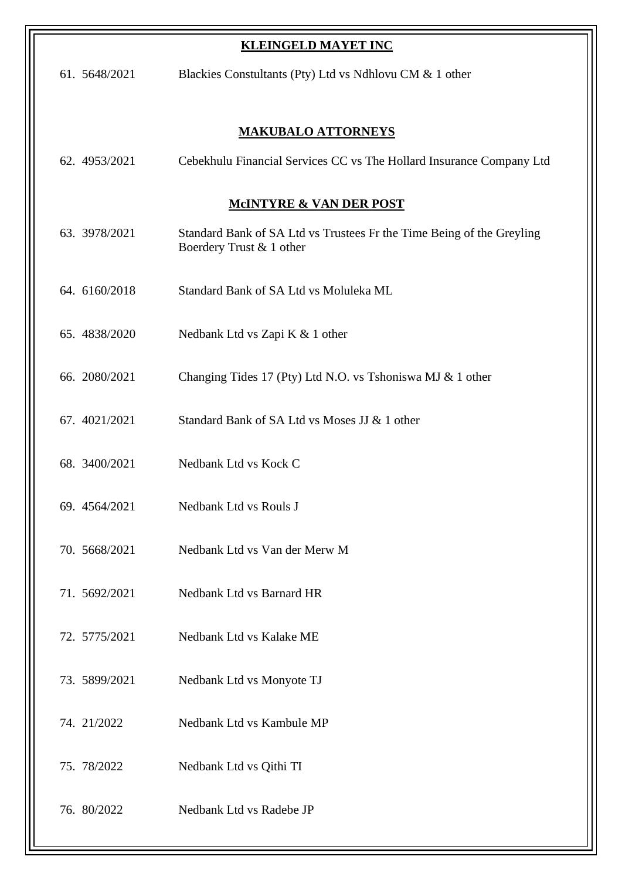| <b>KLEINGELD MAYET INC</b>         |                                                                                                   |  |  |
|------------------------------------|---------------------------------------------------------------------------------------------------|--|--|
| 61. 5648/2021                      | Blackies Constultants (Pty) Ltd vs Ndhlovu CM & 1 other                                           |  |  |
| <b>MAKUBALO ATTORNEYS</b>          |                                                                                                   |  |  |
| 62. 4953/2021                      | Cebekhulu Financial Services CC vs The Hollard Insurance Company Ltd                              |  |  |
| <b>MCINTYRE &amp; VAN DER POST</b> |                                                                                                   |  |  |
| 63. 3978/2021                      | Standard Bank of SA Ltd vs Trustees Fr the Time Being of the Greyling<br>Boerdery Trust & 1 other |  |  |
| 64. 6160/2018                      | Standard Bank of SA Ltd vs Moluleka ML                                                            |  |  |
| 65. 4838/2020                      | Nedbank Ltd vs Zapi K & 1 other                                                                   |  |  |
| 66. 2080/2021                      | Changing Tides 17 (Pty) Ltd N.O. vs Tshoniswa MJ & 1 other                                        |  |  |
| 67. 4021/2021                      | Standard Bank of SA Ltd vs Moses JJ & 1 other                                                     |  |  |
| 68. 3400/2021                      | Nedbank Ltd vs Kock C                                                                             |  |  |
| 69. 4564/2021                      | Nedbank Ltd vs Rouls J                                                                            |  |  |
| 70. 5668/2021                      | Nedbank Ltd vs Van der Merw M                                                                     |  |  |
| 71. 5692/2021                      | Nedbank Ltd vs Barnard HR                                                                         |  |  |
| 72. 5775/2021                      | Nedbank Ltd vs Kalake ME                                                                          |  |  |
| 73. 5899/2021                      | Nedbank Ltd vs Monyote TJ                                                                         |  |  |
| 74. 21/2022                        | Nedbank Ltd vs Kambule MP                                                                         |  |  |
| 75. 78/2022                        | Nedbank Ltd vs Qithi TI                                                                           |  |  |
| 76. 80/2022                        | Nedbank Ltd vs Radebe JP                                                                          |  |  |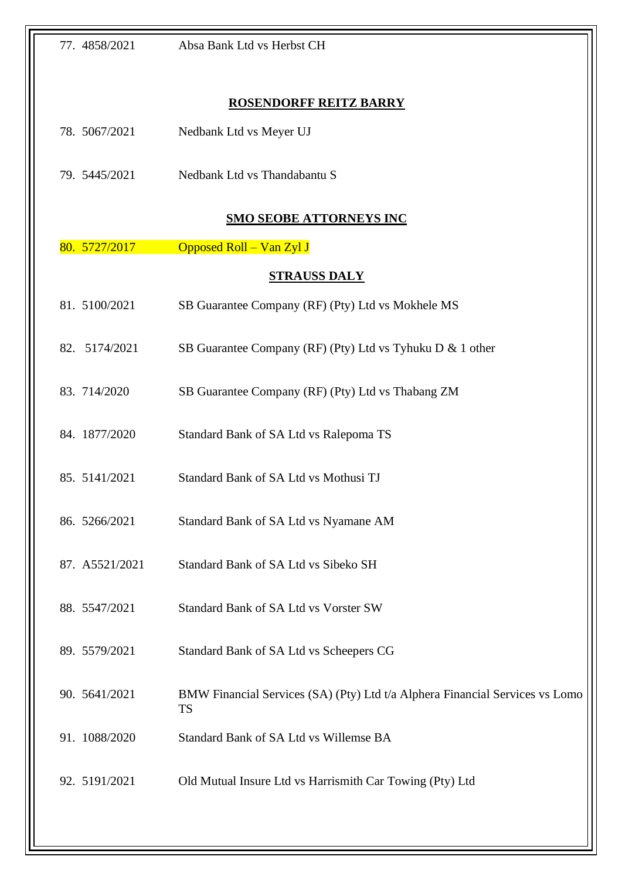| 77. 4858/2021                  | Absa Bank Ltd vs Herbst CH                                                                |  |
|--------------------------------|-------------------------------------------------------------------------------------------|--|
|                                |                                                                                           |  |
| <b>ROSENDORFF REITZ BARRY</b>  |                                                                                           |  |
| 78. 5067/2021                  | Nedbank Ltd vs Meyer UJ                                                                   |  |
| 79. 5445/2021                  | Nedbank Ltd vs Thandabantu S                                                              |  |
| <b>SMO SEOBE ATTORNEYS INC</b> |                                                                                           |  |
| 80. 5727/2017                  | Opposed Roll - Van Zyl J                                                                  |  |
| <b>STRAUSS DALY</b>            |                                                                                           |  |
| 81. 5100/2021                  | SB Guarantee Company (RF) (Pty) Ltd vs Mokhele MS                                         |  |
| 82. 5174/2021                  | SB Guarantee Company (RF) (Pty) Ltd vs Tyhuku D & 1 other                                 |  |
| 83. 714/2020                   | SB Guarantee Company (RF) (Pty) Ltd vs Thabang ZM                                         |  |
| 84. 1877/2020                  | Standard Bank of SA Ltd vs Ralepoma TS                                                    |  |
| 85. 5141/2021                  | Standard Bank of SA Ltd vs Mothusi TJ                                                     |  |
| 86. 5266/2021                  | Standard Bank of SA Ltd vs Nyamane AM                                                     |  |
| 87. A5521/2021                 | Standard Bank of SA Ltd vs Sibeko SH                                                      |  |
| 88. 5547/2021                  | Standard Bank of SA Ltd vs Vorster SW                                                     |  |
| 89. 5579/2021                  | Standard Bank of SA Ltd vs Scheepers CG                                                   |  |
| 90. 5641/2021                  | BMW Financial Services (SA) (Pty) Ltd t/a Alphera Financial Services vs Lomo<br><b>TS</b> |  |
| 91. 1088/2020                  | Standard Bank of SA Ltd vs Willemse BA                                                    |  |
| 92. 5191/2021                  | Old Mutual Insure Ltd vs Harrismith Car Towing (Pty) Ltd                                  |  |